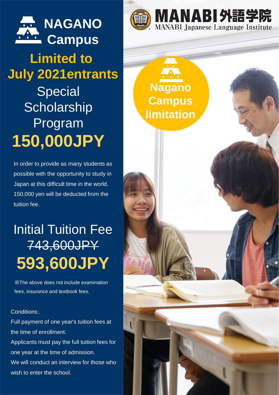

# **Limited to July 2021entrants**

**Special Scholarship** Program **150,000JPY**

In order to provide as many students as possible with the opportunity to study in Japan at this difficult time in the world. 150,000 yen will be deducted from the tuition fee.

## Initial Tuition Fee 743,600JPY **593,600JPY**

※The above does not include examination fees, insurance and textbook fees.

#### Conditions:.

Full payment of one year's tuition fees at the time of enrollment. Applicants must pay the full tuition fees for one year at the time of admission. We will conduct an interview for those who

wish to enter the school.